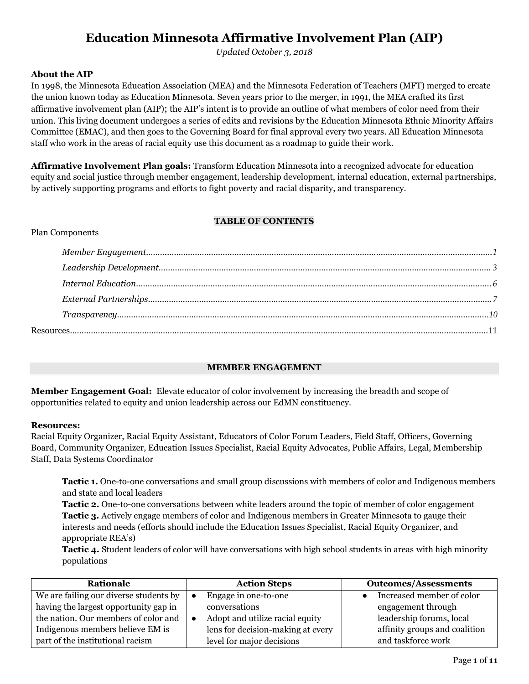# **Education Minnesota Affirmative Involvement Plan (AIP)**

*Updated October 3, 2018*

#### **About the AIP**

In 1998, the Minnesota Education Association (MEA) and the Minnesota Federation of Teachers (MFT) merged to create the union known today as Education Minnesota. Seven years prior to the merger, in 1991, the MEA crafted its first affirmative involvement plan (AIP); the AIP's intent is to provide an outline of what members of color need from their union. This living document undergoes a series of edits and revisions by the Education Minnesota Ethnic Minority Affairs Committee (EMAC), and then goes to the Governing Board for final approval every two years. All Education Minnesota staff who work in the areas of racial equity use this document as a roadmap to guide their work.

**Affirmative Involvement Plan goals:** Transform Education Minnesota into a recognized advocate for education equity and social justice through member engagement, leadership development, internal education, external partnerships, by actively supporting programs and efforts to fight poverty and racial disparity, and transparency.

#### **TABLE OF CONTENTS**

#### Plan Components

| $\label{lem:main} \textit{Member Engagement}\textit{}\textit{}\textit{}\textit{}\textit{}\textit{}\textit{}\textit{}\textit{}\textit{}\textit{}\textit{}\textit{}\textit{}\textit{}\textit{}\textit{}\textit{}\textit{}\textit{}\textit{}\textit{}\textit{}\textit{}\textit{}\textit{}\textit{}\textit{}\textit{}\$ |  |
|---------------------------------------------------------------------------------------------------------------------------------------------------------------------------------------------------------------------------------------------------------------------------------------------------------------------|--|
|                                                                                                                                                                                                                                                                                                                     |  |
|                                                                                                                                                                                                                                                                                                                     |  |
|                                                                                                                                                                                                                                                                                                                     |  |
| $Transport$ $(10)$                                                                                                                                                                                                                                                                                                  |  |
|                                                                                                                                                                                                                                                                                                                     |  |

# **MEMBER ENGAGEMENT**

<span id="page-0-0"></span>**Member Engagement Goal:** Elevate educator of color involvement by increasing the breadth and scope of opportunities related to equity and union leadership across our EdMN constituency.

#### **Resources:**

Racial Equity Organizer, Racial Equity Assistant, Educators of Color Forum Leaders, Field Staff, Officers, Governing Board, Community Organizer, Education Issues Specialist, Racial Equity Advocates, Public Affairs, Legal, Membership Staff, Data Systems Coordinator

**Tactic 1.** One-to-one conversations and small group discussions with members of color and Indigenous members and state and local leaders

**Tactic 2.** One-to-one conversations between white leaders around the topic of member of color engagement **Tactic 3.** Actively engage members of color and Indigenous members in Greater Minnesota to gauge their interests and needs (efforts should include the Education Issues Specialist, Racial Equity Organizer, and appropriate REA's)

**Tactic 4.** Student leaders of color will have conversations with high school students in areas with high minority populations

| Rationale                              | <b>Action Steps</b>               | <b>Outcomes/Assessments</b>   |
|----------------------------------------|-----------------------------------|-------------------------------|
| We are failing our diverse students by | Engage in one-to-one<br>٠         | Increased member of color     |
| having the largest opportunity gap in  | conversations                     | engagement through            |
| the nation. Our members of color and   | Adopt and utilize racial equity   | leadership forums, local      |
| Indigenous members believe EM is       | lens for decision-making at every | affinity groups and coalition |
| part of the institutional racism       | level for major decisions         | and taskforce work            |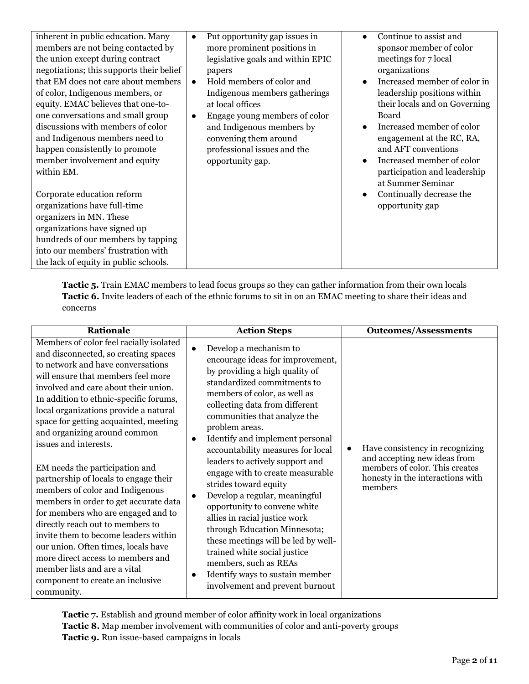| inherent in public education. Many<br>members are not being contacted by<br>the union except during contract<br>negotiations; this supports their belief<br>that EM does not care about members<br>of color, Indigenous members, or<br>equity. EMAC believes that one-to-<br>one conversations and small group<br>discussions with members of color<br>and Indigenous members need to<br>happen consistently to promote<br>member involvement and equity<br>within EM. | Put opportunity gap issues in<br>$\bullet$<br>more prominent positions in<br>legislative goals and within EPIC<br>papers<br>Hold members of color and<br>$\bullet$<br>Indigenous members gatherings<br>at local offices<br>Engage young members of color<br>$\bullet$<br>and Indigenous members by<br>convening them around<br>professional issues and the<br>opportunity gap. | Continue to assist and<br>$\bullet$<br>sponsor member of color<br>meetings for 7 local<br>organizations<br>Increased member of color in<br>$\bullet$<br>leadership positions within<br>their locals and on Governing<br>Board<br>Increased member of color<br>engagement at the RC, RA,<br>and AFT conventions<br>Increased member of color<br>participation and leadership<br>at Summer Seminar |
|------------------------------------------------------------------------------------------------------------------------------------------------------------------------------------------------------------------------------------------------------------------------------------------------------------------------------------------------------------------------------------------------------------------------------------------------------------------------|--------------------------------------------------------------------------------------------------------------------------------------------------------------------------------------------------------------------------------------------------------------------------------------------------------------------------------------------------------------------------------|--------------------------------------------------------------------------------------------------------------------------------------------------------------------------------------------------------------------------------------------------------------------------------------------------------------------------------------------------------------------------------------------------|
| Corporate education reform<br>organizations have full-time<br>organizers in MN. These<br>organizations have signed up<br>hundreds of our members by tapping<br>into our members' frustration with<br>the lack of equity in public schools.                                                                                                                                                                                                                             |                                                                                                                                                                                                                                                                                                                                                                                | Continually decrease the<br>$\bullet$<br>opportunity gap                                                                                                                                                                                                                                                                                                                                         |

**Tactic 5.** Train EMAC members to lead focus groups so they can gather information from their own locals **Tactic 6.** Invite leaders of each of the ethnic forums to sit in on an EMAC meeting to share their ideas and concerns

| <b>Rationale</b>                                                                                                                                                                                                                                                                                                                                                                                                                                                                                                                                                                                                                                                                                                                                                                                                               | <b>Action Steps</b>                                                                                                                                                                                                                                                                                                                                                                                                                                                                                                                                                                                                                                                                                                                                                                 | <b>Outcomes/Assessments</b>                                                                                                                                   |
|--------------------------------------------------------------------------------------------------------------------------------------------------------------------------------------------------------------------------------------------------------------------------------------------------------------------------------------------------------------------------------------------------------------------------------------------------------------------------------------------------------------------------------------------------------------------------------------------------------------------------------------------------------------------------------------------------------------------------------------------------------------------------------------------------------------------------------|-------------------------------------------------------------------------------------------------------------------------------------------------------------------------------------------------------------------------------------------------------------------------------------------------------------------------------------------------------------------------------------------------------------------------------------------------------------------------------------------------------------------------------------------------------------------------------------------------------------------------------------------------------------------------------------------------------------------------------------------------------------------------------------|---------------------------------------------------------------------------------------------------------------------------------------------------------------|
| Members of color feel racially isolated<br>and disconnected, so creating spaces<br>to network and have conversations<br>will ensure that members feel more<br>involved and care about their union.<br>In addition to ethnic-specific forums,<br>local organizations provide a natural<br>space for getting acquainted, meeting<br>and organizing around common<br>issues and interests.<br>EM needs the participation and<br>partnership of locals to engage their<br>members of color and Indigenous<br>members in order to get accurate data<br>for members who are engaged and to<br>directly reach out to members to<br>invite them to become leaders within<br>our union. Often times, locals have<br>more direct access to members and<br>member lists and are a vital<br>component to create an inclusive<br>community. | Develop a mechanism to<br>$\bullet$<br>encourage ideas for improvement,<br>by providing a high quality of<br>standardized commitments to<br>members of color, as well as<br>collecting data from different<br>communities that analyze the<br>problem areas.<br>Identify and implement personal<br>$\bullet$<br>accountability measures for local<br>leaders to actively support and<br>engage with to create measurable<br>strides toward equity<br>Develop a regular, meaningful<br>$\bullet$<br>opportunity to convene white<br>allies in racial justice work<br>through Education Minnesota;<br>these meetings will be led by well-<br>trained white social justice<br>members, such as REAs<br>Identify ways to sustain member<br>$\bullet$<br>involvement and prevent burnout | Have consistency in recognizing<br>$\bullet$<br>and accepting new ideas from<br>members of color. This creates<br>honesty in the interactions with<br>members |

**Tactic 7.** Establish and ground member of color affinity work in local organizations **Tactic 8.** Map member involvement with communities of color and anti-poverty groups **Tactic 9.** Run issue-based campaigns in locals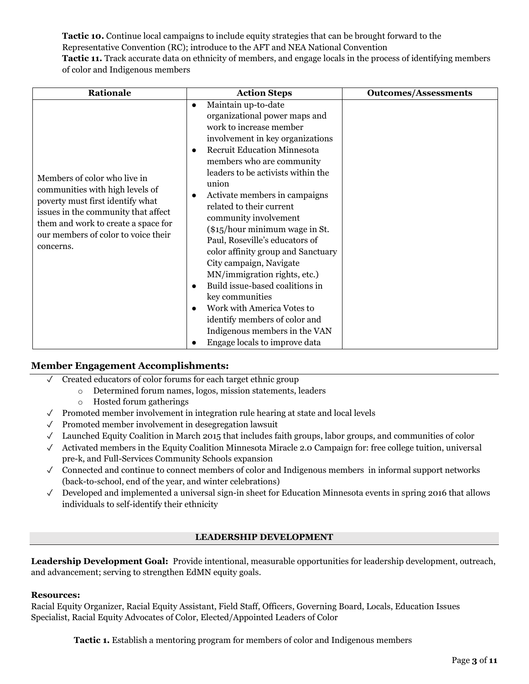**Tactic 10.** Continue local campaigns to include equity strategies that can be brought forward to the Representative Convention (RC); introduce to the AFT and NEA National Convention **Tactic 11.** Track accurate data on ethnicity of members, and engage locals in the process of identifying members of color and Indigenous members

| Rationale                                                                                                                                                                                                                             | <b>Action Steps</b>                                                                                                                                                                                                                                                                                                                                                                                                                                                                                                                                                                                                                                                                                                                           | <b>Outcomes/Assessments</b> |
|---------------------------------------------------------------------------------------------------------------------------------------------------------------------------------------------------------------------------------------|-----------------------------------------------------------------------------------------------------------------------------------------------------------------------------------------------------------------------------------------------------------------------------------------------------------------------------------------------------------------------------------------------------------------------------------------------------------------------------------------------------------------------------------------------------------------------------------------------------------------------------------------------------------------------------------------------------------------------------------------------|-----------------------------|
| Members of color who live in<br>communities with high levels of<br>poverty must first identify what<br>issues in the community that affect<br>them and work to create a space for<br>our members of color to voice their<br>concerns. | Maintain up-to-date<br>$\bullet$<br>organizational power maps and<br>work to increase member<br>involvement in key organizations<br><b>Recruit Education Minnesota</b><br>$\bullet$<br>members who are community<br>leaders to be activists within the<br>union<br>Activate members in campaigns<br>$\bullet$<br>related to their current<br>community involvement<br>$(\$15/hour minimum wage in St.$<br>Paul, Roseville's educators of<br>color affinity group and Sanctuary<br>City campaign, Navigate<br>MN/immigration rights, etc.)<br>Build issue-based coalitions in<br>key communities<br>Work with America Votes to<br>$\bullet$<br>identify members of color and<br>Indigenous members in the VAN<br>Engage locals to improve data |                             |

#### **Member Engagement Accomplishments:**

- ✓ Created educators of color forums for each target ethnic group
	- o Determined forum names, logos, mission statements, leaders
	- o Hosted forum gatherings
- ✓ Promoted member involvement in integration rule hearing at state and local levels
- ✓ Promoted member involvement in desegregation lawsuit
- ✓ Launched Equity Coalition in March 2015 that includes faith groups, labor groups, and communities of color
- $\checkmark$  Activated members in the Equity Coalition Minnesota Miracle 2.0 Campaign for: free college tuition, universal pre-k, and Full-Services Community Schools expansion
- ✓ Connected and continue to connect members of color and Indigenous members in informal support networks (back-to-school, end of the year, and winter celebrations)
- ✓ Developed and implemented a universal sign-in sheet for Education Minnesota events in spring 2016 that allows individuals to self-identify their ethnicity

#### **LEADERSHIP DEVELOPMENT**

<span id="page-2-0"></span>**Leadership Development Goal:** Provide intentional, measurable opportunities for leadership development, outreach, and advancement; serving to strengthen EdMN equity goals.

#### **Resources:**

Racial Equity Organizer, Racial Equity Assistant, Field Staff, Officers, Governing Board, Locals, Education Issues Specialist, Racial Equity Advocates of Color, Elected/Appointed Leaders of Color

**Tactic 1.** Establish a mentoring program for members of color and Indigenous members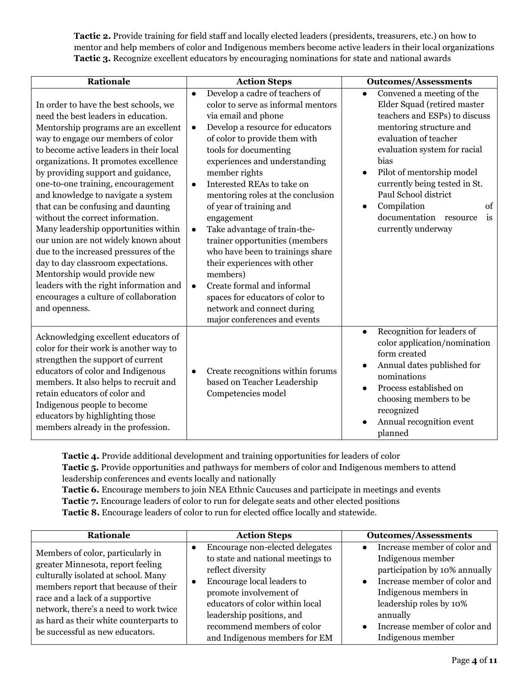**Tactic 2.** Provide training for field staff and locally elected leaders (presidents, treasurers, etc.) on how to mentor and help members of color and Indigenous members become active leaders in their local organizations **Tactic 3.** Recognize excellent educators by encouraging nominations for state and national awards

| <b>Rationale</b>                                                                                                                                                                                                                                                                                                                                                                                                                                                                                                                                                                                                                                                                                                                              | <b>Action Steps</b>                                                                                                                                                                                                                                                                                                                                                                                                                                                                                                                                                                                                                                                                                        | <b>Outcomes/Assessments</b>                                                                                                                                                                                                                                                                                                                                                                   |
|-----------------------------------------------------------------------------------------------------------------------------------------------------------------------------------------------------------------------------------------------------------------------------------------------------------------------------------------------------------------------------------------------------------------------------------------------------------------------------------------------------------------------------------------------------------------------------------------------------------------------------------------------------------------------------------------------------------------------------------------------|------------------------------------------------------------------------------------------------------------------------------------------------------------------------------------------------------------------------------------------------------------------------------------------------------------------------------------------------------------------------------------------------------------------------------------------------------------------------------------------------------------------------------------------------------------------------------------------------------------------------------------------------------------------------------------------------------------|-----------------------------------------------------------------------------------------------------------------------------------------------------------------------------------------------------------------------------------------------------------------------------------------------------------------------------------------------------------------------------------------------|
| In order to have the best schools, we<br>need the best leaders in education.<br>Mentorship programs are an excellent<br>way to engage our members of color<br>to become active leaders in their local<br>organizations. It promotes excellence<br>by providing support and guidance,<br>one-to-one training, encouragement<br>and knowledge to navigate a system<br>that can be confusing and daunting<br>without the correct information.<br>Many leadership opportunities within<br>our union are not widely known about<br>due to the increased pressures of the<br>day to day classroom expectations.<br>Mentorship would provide new<br>leaders with the right information and<br>encourages a culture of collaboration<br>and openness. | Develop a cadre of teachers of<br>$\bullet$<br>color to serve as informal mentors<br>via email and phone<br>Develop a resource for educators<br>$\bullet$<br>of color to provide them with<br>tools for documenting<br>experiences and understanding<br>member rights<br>Interested REAs to take on<br>$\bullet$<br>mentoring roles at the conclusion<br>of year of training and<br>engagement<br>Take advantage of train-the-<br>$\bullet$<br>trainer opportunities (members<br>who have been to trainings share<br>their experiences with other<br>members)<br>Create formal and informal<br>$\bullet$<br>spaces for educators of color to<br>network and connect during<br>major conferences and events | Convened a meeting of the<br>$\bullet$<br>Elder Squad (retired master<br>teachers and ESPs) to discuss<br>mentoring structure and<br>evaluation of teacher<br>evaluation system for racial<br>bias<br>Pilot of mentorship model<br>$\bullet$<br>currently being tested in St.<br>Paul School district<br>Compilation<br>of<br>$\bullet$<br>documentation resource<br>is<br>currently underway |
| Acknowledging excellent educators of<br>color for their work is another way to<br>strengthen the support of current<br>educators of color and Indigenous<br>members. It also helps to recruit and<br>retain educators of color and<br>Indigenous people to become<br>educators by highlighting those<br>members already in the profession.                                                                                                                                                                                                                                                                                                                                                                                                    | Create recognitions within forums<br>٠<br>based on Teacher Leadership<br>Competencies model                                                                                                                                                                                                                                                                                                                                                                                                                                                                                                                                                                                                                | Recognition for leaders of<br>$\bullet$<br>color application/nomination<br>form created<br>Annual dates published for<br>nominations<br>Process established on<br>$\bullet$<br>choosing members to be<br>recognized<br>Annual recognition event<br>planned                                                                                                                                    |

**Tactic 4.** Provide additional development and training opportunities for leaders of color **Tactic 5.** Provide opportunities and pathways for members of color and Indigenous members to attend leadership conferences and events locally and nationally

**Tactic 6.** Encourage members to join NEA Ethnic Caucuses and participate in meetings and events **Tactic 7.** Encourage leaders of color to run for delegate seats and other elected positions **Tactic 8.** Encourage leaders of color to run for elected office locally and statewide.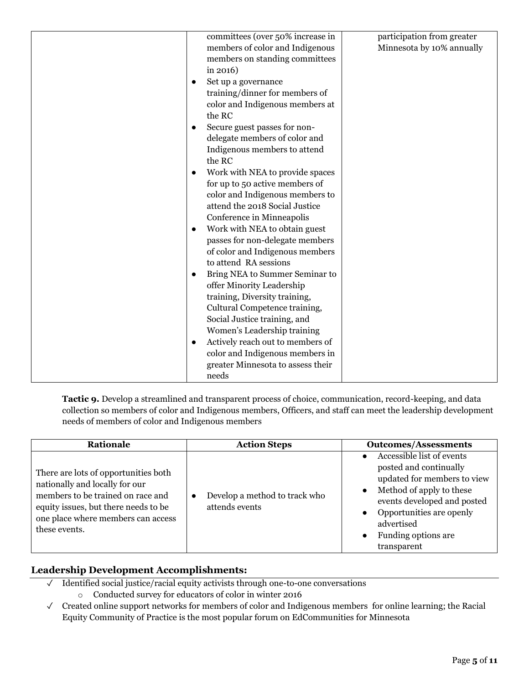| committees (over 50% increase in  | participation from greater |
|-----------------------------------|----------------------------|
| members of color and Indigenous   | Minnesota by 10% annually  |
| members on standing committees    |                            |
| in $2016$ )                       |                            |
| Set up a governance               |                            |
|                                   |                            |
| training/dinner for members of    |                            |
| color and Indigenous members at   |                            |
| the RC                            |                            |
| Secure guest passes for non-      |                            |
| delegate members of color and     |                            |
| Indigenous members to attend      |                            |
| the RC                            |                            |
| Work with NEA to provide spaces   |                            |
| for up to 50 active members of    |                            |
| color and Indigenous members to   |                            |
| attend the 2018 Social Justice    |                            |
| Conference in Minneapolis         |                            |
| Work with NEA to obtain guest     |                            |
| passes for non-delegate members   |                            |
| of color and Indigenous members   |                            |
| to attend RA sessions             |                            |
| Bring NEA to Summer Seminar to    |                            |
| offer Minority Leadership         |                            |
| training, Diversity training,     |                            |
| Cultural Competence training,     |                            |
| Social Justice training, and      |                            |
| Women's Leadership training       |                            |
| Actively reach out to members of  |                            |
| color and Indigenous members in   |                            |
| greater Minnesota to assess their |                            |
| needs                             |                            |
|                                   |                            |

**Tactic 9.** Develop a streamlined and transparent process of choice, communication, record-keeping, and data collection so members of color and Indigenous members, Officers, and staff can meet the leadership development needs of members of color and Indigenous members

| <b>Rationale</b>                                                                                                                                                                                           | <b>Action Steps</b>                                          | <b>Outcomes/Assessments</b>                                                                                                                                                                                                                                           |
|------------------------------------------------------------------------------------------------------------------------------------------------------------------------------------------------------------|--------------------------------------------------------------|-----------------------------------------------------------------------------------------------------------------------------------------------------------------------------------------------------------------------------------------------------------------------|
| There are lots of opportunities both<br>nationally and locally for our<br>members to be trained on race and<br>equity issues, but there needs to be<br>one place where members can access<br>these events. | Develop a method to track who<br>$\bullet$<br>attends events | Accessible list of events<br>posted and continually<br>updated for members to view<br>Method of apply to these<br>$\bullet$<br>events developed and posted<br>Opportunities are openly<br>$\bullet$<br>advertised<br>Funding options are.<br>$\bullet$<br>transparent |

# **Leadership Development Accomplishments:**

- ✓ Identified social justice/racial equity activists through one-to-one conversations o Conducted survey for educators of color in winter 2016
- ✓ Created online support networks for members of color and Indigenous members for online learning; the Racial Equity Community of Practice is the most popular forum on EdCommunities for Minnesota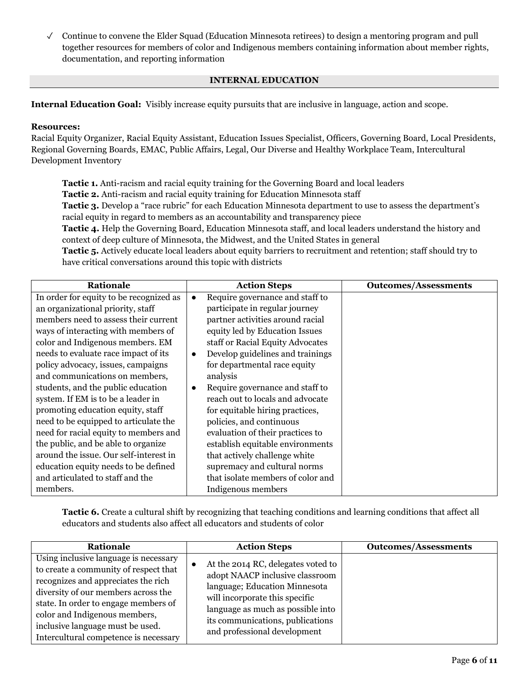$\checkmark$  Continue to convene the Elder Squad (Education Minnesota retirees) to design a mentoring program and pull together resources for members of color and Indigenous members containing information about member rights, documentation, and reporting information

#### **INTERNAL EDUCATION**

<span id="page-5-0"></span>**Internal Education Goal:** Visibly increase equity pursuits that are inclusive in language, action and scope.

#### **Resources:**

Racial Equity Organizer, Racial Equity Assistant, Education Issues Specialist, Officers, Governing Board, Local Presidents, Regional Governing Boards, EMAC, Public Affairs, Legal, Our Diverse and Healthy Workplace Team, Intercultural Development Inventory

**Tactic 1.** Anti-racism and racial equity training for the Governing Board and local leaders **Tactic 2.** Anti-racism and racial equity training for Education Minnesota staff **Tactic 3.** Develop a "race rubric" for each Education Minnesota department to use to assess the department's racial equity in regard to members as an accountability and transparency piece **Tactic 4.** Help the Governing Board, Education Minnesota staff, and local leaders understand the history and context of deep culture of Minnesota, the Midwest, and the United States in general **Tactic 5.** Actively educate local leaders about equity barriers to recruitment and retention; staff should try to have critical conversations around this topic with districts

| <b>Rationale</b>                        | <b>Action Steps</b>                           | <b>Outcomes/Assessments</b> |
|-----------------------------------------|-----------------------------------------------|-----------------------------|
| In order for equity to be recognized as | Require governance and staff to               |                             |
| an organizational priority, staff       | participate in regular journey                |                             |
| members need to assess their current    | partner activities around racial              |                             |
| ways of interacting with members of     | equity led by Education Issues                |                             |
| color and Indigenous members. EM        | staff or Racial Equity Advocates              |                             |
| needs to evaluate race impact of its    | Develop guidelines and trainings<br>$\bullet$ |                             |
| policy advocacy, issues, campaigns      | for departmental race equity                  |                             |
| and communications on members,          | analysis                                      |                             |
| students, and the public education      | Require governance and staff to<br>$\bullet$  |                             |
| system. If EM is to be a leader in      | reach out to locals and advocate              |                             |
| promoting education equity, staff       | for equitable hiring practices,               |                             |
| need to be equipped to articulate the   | policies, and continuous                      |                             |
| need for racial equity to members and   | evaluation of their practices to              |                             |
| the public, and be able to organize     | establish equitable environments              |                             |
| around the issue. Our self-interest in  | that actively challenge white                 |                             |
| education equity needs to be defined    | supremacy and cultural norms                  |                             |
| and articulated to staff and the        | that isolate members of color and             |                             |
| members.                                | Indigenous members                            |                             |

**Tactic 6.** Create a cultural shift by recognizing that teaching conditions and learning conditions that affect all educators and students also affect all educators and students of color

| Rationale                                                                                                                                                                                                                                                                                                          | <b>Action Steps</b>                                                                                                                                                                                                                               | <b>Outcomes/Assessments</b> |
|--------------------------------------------------------------------------------------------------------------------------------------------------------------------------------------------------------------------------------------------------------------------------------------------------------------------|---------------------------------------------------------------------------------------------------------------------------------------------------------------------------------------------------------------------------------------------------|-----------------------------|
| Using inclusive language is necessary<br>to create a community of respect that<br>recognizes and appreciates the rich<br>diversity of our members across the<br>state. In order to engage members of<br>color and Indigenous members,<br>inclusive language must be used.<br>Intercultural competence is necessary | At the 2014 RC, delegates voted to<br>adopt NAACP inclusive classroom<br>language; Education Minnesota<br>will incorporate this specific<br>language as much as possible into<br>its communications, publications<br>and professional development |                             |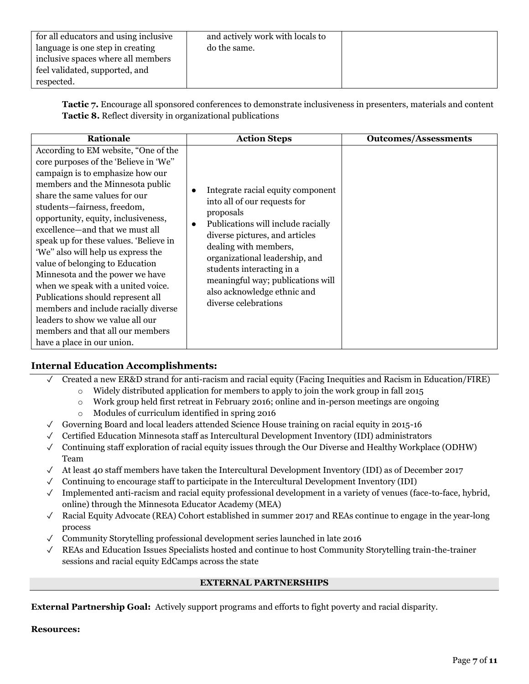| for all educators and using inclusive<br>language is one step in creating<br>inclusive spaces where all members<br>feel validated, supported, and<br>respected. | and actively work with locals to<br>do the same. |  |
|-----------------------------------------------------------------------------------------------------------------------------------------------------------------|--------------------------------------------------|--|
|-----------------------------------------------------------------------------------------------------------------------------------------------------------------|--------------------------------------------------|--|

**Tactic 7.** Encourage all sponsored conferences to demonstrate inclusiveness in presenters, materials and content **Tactic 8.** Reflect diversity in organizational publications

| <b>Rationale</b>                                                                                                                                                                                                                                                                                                                                                                                                                                                                                                                                                                                                                                                               | <b>Action Steps</b>                                                                                                                                                                                                                                                                                                                                     | <b>Outcomes/Assessments</b> |
|--------------------------------------------------------------------------------------------------------------------------------------------------------------------------------------------------------------------------------------------------------------------------------------------------------------------------------------------------------------------------------------------------------------------------------------------------------------------------------------------------------------------------------------------------------------------------------------------------------------------------------------------------------------------------------|---------------------------------------------------------------------------------------------------------------------------------------------------------------------------------------------------------------------------------------------------------------------------------------------------------------------------------------------------------|-----------------------------|
| According to EM website, "One of the<br>core purposes of the 'Believe in 'We"<br>campaign is to emphasize how our<br>members and the Minnesota public<br>share the same values for our<br>students-fairness, freedom,<br>opportunity, equity, inclusiveness,<br>excellence-and that we must all<br>speak up for these values. 'Believe in<br>'We" also will help us express the<br>value of belonging to Education<br>Minnesota and the power we have<br>when we speak with a united voice.<br>Publications should represent all<br>members and include racially diverse<br>leaders to show we value all our<br>members and that all our members<br>have a place in our union. | Integrate racial equity component<br>into all of our requests for<br>proposals<br>Publications will include racially<br>$\bullet$<br>diverse pictures, and articles<br>dealing with members,<br>organizational leadership, and<br>students interacting in a<br>meaningful way; publications will<br>also acknowledge ethnic and<br>diverse celebrations |                             |

# **Internal Education Accomplishments:**

- ✓ Created a new ER&D strand for anti-racism and racial equity (Facing Inequities and Racism in Education/FIRE)
	- $\circ$  Widely distributed application for members to apply to join the work group in fall 2015
		- o Work group held first retreat in February 2016; online and in-person meetings are ongoing
		- o Modules of curriculum identified in spring 2016
- $\checkmark$  Governing Board and local leaders attended Science House training on racial equity in 2015-16
- ✓ Certified Education Minnesota staff as Intercultural Development Inventory (IDI) administrators
- $\checkmark$  Continuing staff exploration of racial equity issues through the Our Diverse and Healthy Workplace (ODHW) Team
- $\checkmark$  At least 40 staff members have taken the Intercultural Development Inventory (IDI) as of December 2017
- $\checkmark$  Continuing to encourage staff to participate in the Intercultural Development Inventory (IDI)
- ✓ Implemented anti-racism and racial equity professional development in a variety of venues (face-to-face, hybrid, online) through the Minnesota Educator Academy (MEA)
- $\sqrt{\phantom{a}}$  Racial Equity Advocate (REA) Cohort established in summer 2017 and REAs continue to engage in the year-long process
- $\checkmark$  Community Storytelling professional development series launched in late 2016
- <span id="page-6-0"></span>✓ REAs and Education Issues Specialists hosted and continue to host Community Storytelling train-the-trainer sessions and racial equity EdCamps across the state

#### **EXTERNAL PARTNERSHIPS**

**External Partnership Goal:** Actively support programs and efforts to fight poverty and racial disparity.

#### **Resources:**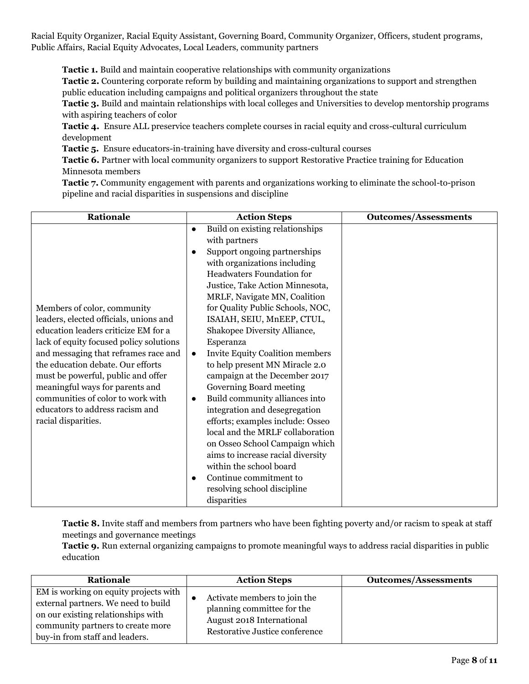Racial Equity Organizer, Racial Equity Assistant, Governing Board, Community Organizer, Officers, student programs, Public Affairs, Racial Equity Advocates, Local Leaders, community partners

**Tactic 1.** Build and maintain cooperative relationships with community organizations

**Tactic 2.** Countering corporate reform by building and maintaining organizations to support and strengthen public education including campaigns and political organizers throughout the state

**Tactic 3.** Build and maintain relationships with local colleges and Universities to develop mentorship programs with aspiring teachers of color

**Tactic 4.** Ensure ALL preservice teachers complete courses in racial equity and cross-cultural curriculum development

**Tactic 5.** Ensure educators-in-training have diversity and cross-cultural courses

**Tactic 6.** Partner with local community organizers to support Restorative Practice training for Education Minnesota members

**Tactic 7.** Community engagement with parents and organizations working to eliminate the school-to-prison pipeline and racial disparities in suspensions and discipline

| Rationale                                                                                                                                                                                                                                                                                                                                                                                                     | <b>Action Steps</b>                                                                                                                                                                                                                                                                                                                                                                                                                                                                                                                                                                                                                                                                                                                                                                                                                                   | <b>Outcomes/Assessments</b> |
|---------------------------------------------------------------------------------------------------------------------------------------------------------------------------------------------------------------------------------------------------------------------------------------------------------------------------------------------------------------------------------------------------------------|-------------------------------------------------------------------------------------------------------------------------------------------------------------------------------------------------------------------------------------------------------------------------------------------------------------------------------------------------------------------------------------------------------------------------------------------------------------------------------------------------------------------------------------------------------------------------------------------------------------------------------------------------------------------------------------------------------------------------------------------------------------------------------------------------------------------------------------------------------|-----------------------------|
| Members of color, community<br>leaders, elected officials, unions and<br>education leaders criticize EM for a<br>lack of equity focused policy solutions<br>and messaging that reframes race and<br>the education debate. Our efforts<br>must be powerful, public and offer<br>meaningful ways for parents and<br>communities of color to work with<br>educators to address racism and<br>racial disparities. | Build on existing relationships<br>$\bullet$<br>with partners<br>Support ongoing partnerships<br>$\bullet$<br>with organizations including<br><b>Headwaters Foundation for</b><br>Justice, Take Action Minnesota,<br>MRLF, Navigate MN, Coalition<br>for Quality Public Schools, NOC,<br>ISAIAH, SEIU, MnEEP, CTUL,<br>Shakopee Diversity Alliance,<br>Esperanza<br><b>Invite Equity Coalition members</b><br>$\bullet$<br>to help present MN Miracle 2.0<br>campaign at the December 2017<br>Governing Board meeting<br>Build community alliances into<br>$\bullet$<br>integration and desegregation<br>efforts; examples include: Osseo<br>local and the MRLF collaboration<br>on Osseo School Campaign which<br>aims to increase racial diversity<br>within the school board<br>Continue commitment to<br>$\bullet$<br>resolving school discipline |                             |
|                                                                                                                                                                                                                                                                                                                                                                                                               | disparities                                                                                                                                                                                                                                                                                                                                                                                                                                                                                                                                                                                                                                                                                                                                                                                                                                           |                             |

**Tactic 8.** Invite staff and members from partners who have been fighting poverty and/or racism to speak at staff meetings and governance meetings

**Tactic 9.** Run external organizing campaigns to promote meaningful ways to address racial disparities in public education

| Rationale                                                                                                                                                                                 | <b>Action Steps</b>                                                                                                       | <b>Outcomes/Assessments</b> |
|-------------------------------------------------------------------------------------------------------------------------------------------------------------------------------------------|---------------------------------------------------------------------------------------------------------------------------|-----------------------------|
| EM is working on equity projects with<br>external partners. We need to build<br>on our existing relationships with<br>community partners to create more<br>buy-in from staff and leaders. | Activate members to join the<br>planning committee for the<br>August 2018 International<br>Restorative Justice conference |                             |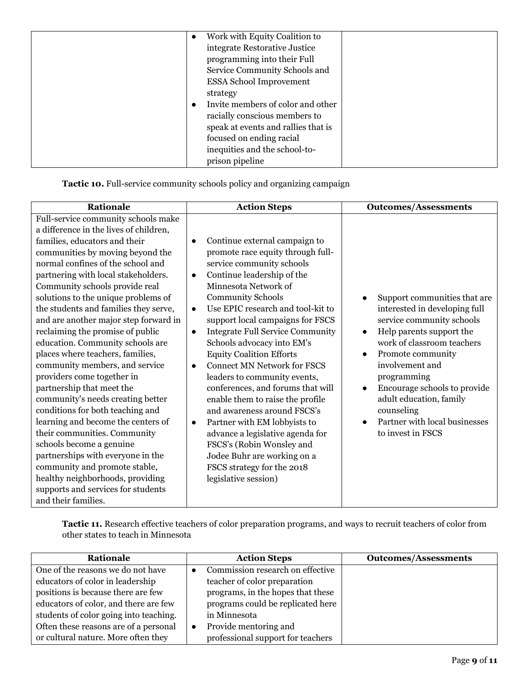| Work with Equity Coalition to<br>$\bullet$ |
|--------------------------------------------|
| integrate Restorative Justice              |
| programming into their Full                |
| Service Community Schools and              |
| <b>ESSA School Improvement</b>             |
| strategy                                   |
| Invite members of color and other          |
| racially conscious members to              |
| speak at events and rallies that is        |
| focused on ending racial                   |
| inequities and the school-to-              |
| prison pipeline                            |

**Tactic 10.** Full-service community schools policy and organizing campaign

| Rationale                                                                                                                                                                                                                                                                                                                                                                                                                                                                                                                                                                                                                                                                                                                                                                                                                                                                                                                                            |
|------------------------------------------------------------------------------------------------------------------------------------------------------------------------------------------------------------------------------------------------------------------------------------------------------------------------------------------------------------------------------------------------------------------------------------------------------------------------------------------------------------------------------------------------------------------------------------------------------------------------------------------------------------------------------------------------------------------------------------------------------------------------------------------------------------------------------------------------------------------------------------------------------------------------------------------------------|
| Full-service community schools make<br>a difference in the lives of children,<br>families, educators and their<br>communities by moving beyond the<br>normal confines of the school and<br>partnering with local stakeholders.<br>Community schools provide real<br>solutions to the unique problems of<br>the students and families they serve,<br>and are another major step forward in<br>reclaiming the promise of public<br>education. Community schools are<br>places where teachers, families,<br>community members, and service<br>providers come together in<br>partnership that meet the<br>community's needs creating better<br>conditions for both teaching and<br>learning and become the centers of<br>their communities. Community<br>schools become a genuine<br>partnerships with everyone in the<br>community and promote stable,<br>healthy neighborhoods, providing<br>supports and services for students<br>and their families. |

**Tactic 11.** Research effective teachers of color preparation programs, and ways to recruit teachers of color from other states to teach in Minnesota

| Rationale                              | <b>Action Steps</b>               | <b>Outcomes/Assessments</b> |
|----------------------------------------|-----------------------------------|-----------------------------|
| One of the reasons we do not have      | Commission research on effective  |                             |
| educators of color in leadership       | teacher of color preparation      |                             |
| positions is because there are few     | programs, in the hopes that these |                             |
| educators of color, and there are few  | programs could be replicated here |                             |
| students of color going into teaching. | in Minnesota                      |                             |
| Often these reasons are of a personal  | Provide mentoring and             |                             |
| or cultural nature. More often they    | professional support for teachers |                             |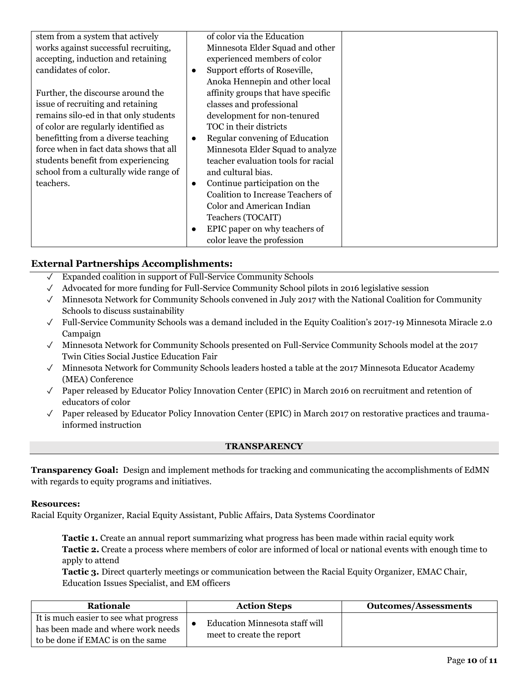| stem from a system that actively       |           | of color via the Education          |  |
|----------------------------------------|-----------|-------------------------------------|--|
| works against successful recruiting,   |           | Minnesota Elder Squad and other     |  |
| accepting, induction and retaining     |           | experienced members of color        |  |
| candidates of color.                   | $\bullet$ | Support efforts of Roseville,       |  |
|                                        |           | Anoka Hennepin and other local      |  |
| Further, the discourse around the      |           | affinity groups that have specific  |  |
| issue of recruiting and retaining      |           | classes and professional            |  |
| remains silo-ed in that only students  |           | development for non-tenured         |  |
| of color are regularly identified as   |           | TOC in their districts              |  |
| benefitting from a diverse teaching    | $\bullet$ | Regular convening of Education      |  |
| force when in fact data shows that all |           | Minnesota Elder Squad to analyze    |  |
| students benefit from experiencing     |           | teacher evaluation tools for racial |  |
| school from a culturally wide range of |           | and cultural bias.                  |  |
| teachers.                              | $\bullet$ | Continue participation on the       |  |
|                                        |           | Coalition to Increase Teachers of   |  |
|                                        |           | Color and American Indian           |  |
|                                        |           | Teachers (TOCAIT)                   |  |
|                                        |           | EPIC paper on why teachers of       |  |
|                                        |           | color leave the profession          |  |

# **External Partnerships Accomplishments:**

- ✓ Expanded coalition in support of Full-Service Community Schools
- $\sqrt{\phantom{a}}$  Advocated for more funding for Full-Service Community School pilots in 2016 legislative session
- ✓ Minnesota Network for Community Schools convened in July 2017 with the National Coalition for Community Schools to discuss sustainability
- ✓ Full-Service Community Schools was a demand included in the Equity Coalition's 2017-19 Minnesota Miracle 2.0 Campaign
- ✓ Minnesota Network for Community Schools presented on Full-Service Community Schools model at the 2017 Twin Cities Social Justice Education Fair
- ✓ Minnesota Network for Community Schools leaders hosted a table at the 2017 Minnesota Educator Academy (MEA) Conference
- $\sqrt{\phantom{a}}$  Paper released by Educator Policy Innovation Center (EPIC) in March 2016 on recruitment and retention of educators of color
- <span id="page-9-0"></span> $\sqrt{\phantom{a}}$  Paper released by Educator Policy Innovation Center (EPIC) in March 2017 on restorative practices and traumainformed instruction

#### **TRANSPARENCY**

**Transparency Goal:** Design and implement methods for tracking and communicating the accomplishments of EdMN with regards to equity programs and initiatives.

#### **Resources:**

Racial Equity Organizer, Racial Equity Assistant, Public Affairs, Data Systems Coordinator

**Tactic 1.** Create an annual report summarizing what progress has been made within racial equity work **Tactic 2.** Create a process where members of color are informed of local or national events with enough time to apply to attend

**Tactic 3.** Direct quarterly meetings or communication between the Racial Equity Organizer, EMAC Chair, Education Issues Specialist, and EM officers

| Rationale                                                                                                         | <b>Action Steps</b>                                         | <b>Outcomes/Assessments</b> |
|-------------------------------------------------------------------------------------------------------------------|-------------------------------------------------------------|-----------------------------|
| It is much easier to see what progress<br>has been made and where work needs<br>to be done if EMAC is on the same | Education Minnesota staff will<br>meet to create the report |                             |